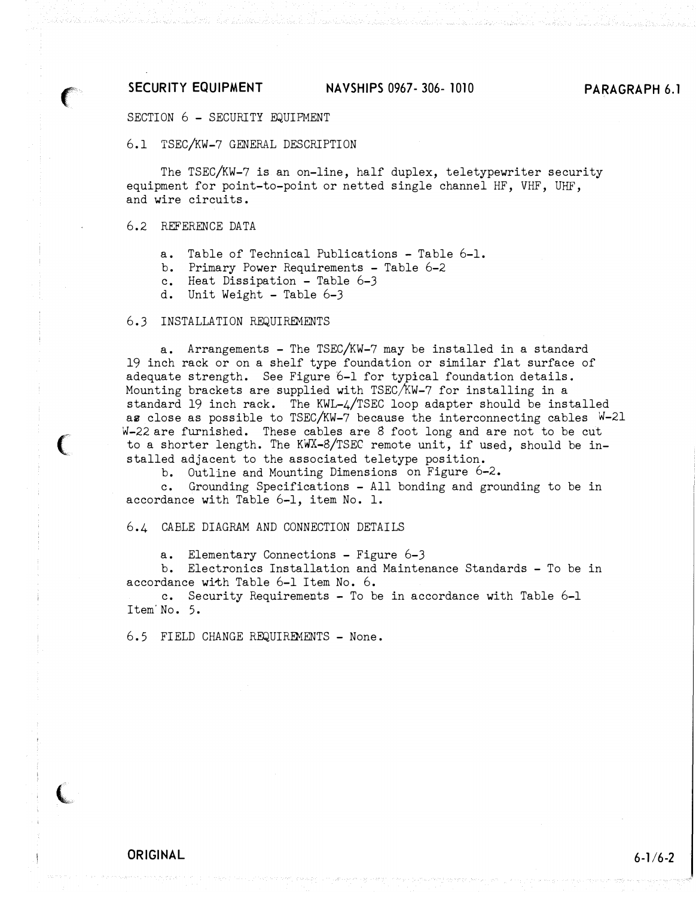SECURITY EQUIPMENT NAVSHIPS 0967-306- 1010 PARAGRAPH 6.1

 $\epsilon$ 

 $\big($ 

l

SECTION 6 - SECURITY EQUIPMENT

#### 6. 1 TSEC/KW-7 GENERAL DESCRIPTION

The TSEC/KW-7 is an on-line, half duplex, teletypewriter security equipment for point-to-point or netted single channel HF, VHF, UHF, and wire circuits.

#### 6. 2 REFERENCE DATA

- a. Table of Technical Publications Table 6-1.
- b. Primary Power Requirements Table 6-2
- c. Heat Dissipation Table 6-3
- d. Unit Weight Table 6-3

## 6. 3 INSTALLATION REQUIREMENTS

a. Arrangements - The TSEC/KW-7 may be installed in a standard 19 inch rack or on a shelf type foundation or similar flat surface of adequate strength. See Figure 6-1 for typical foundation details. Mounting brackets are supplied with TSEC/KW-7 for installing in a standard 19 inch rack. The KWL-4/TSEC loop adapter should be installed as close as possible to TSEC/KW-7 because the interconnecting cables W-21 W-22 are furnished. These cables are 8 foot long and are not to be cut to a shorter length. The KWX-8/TSEC remote unit, if used, should be installed adjacent to the associated teletype position.

b. Outline and Mounting Dimensions on Figure 6-2.

c. Grounding Specifications - All bonding and grounding to be in accordance with Table 6-1, item No. 1.

# 6. 4 CABLE DIAGRAM AND CONNECTION DETAILS

a. Elementary Connections - Figure 6-3

b. Electronics Installation and Maintenance Standards - To be in accordance wi�h Table 6-1 Item No. 6.

ORIGINAL 6-1/6-2

c. Security Requirements - To be in accordance with Table 6-1 Item'No. 5.

6.5 FIELD CHANGE REQUIREMENTS - None.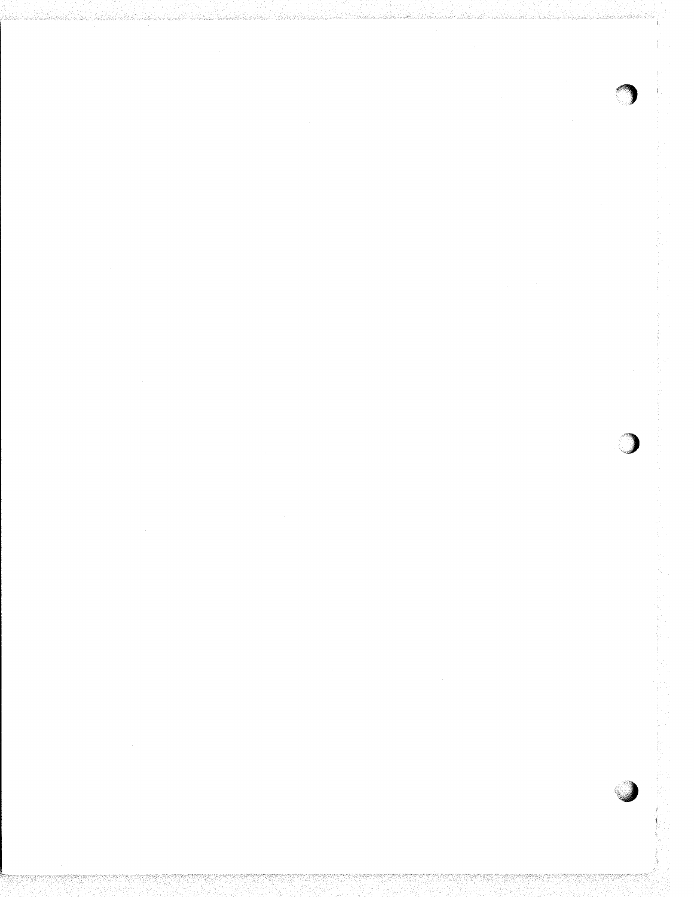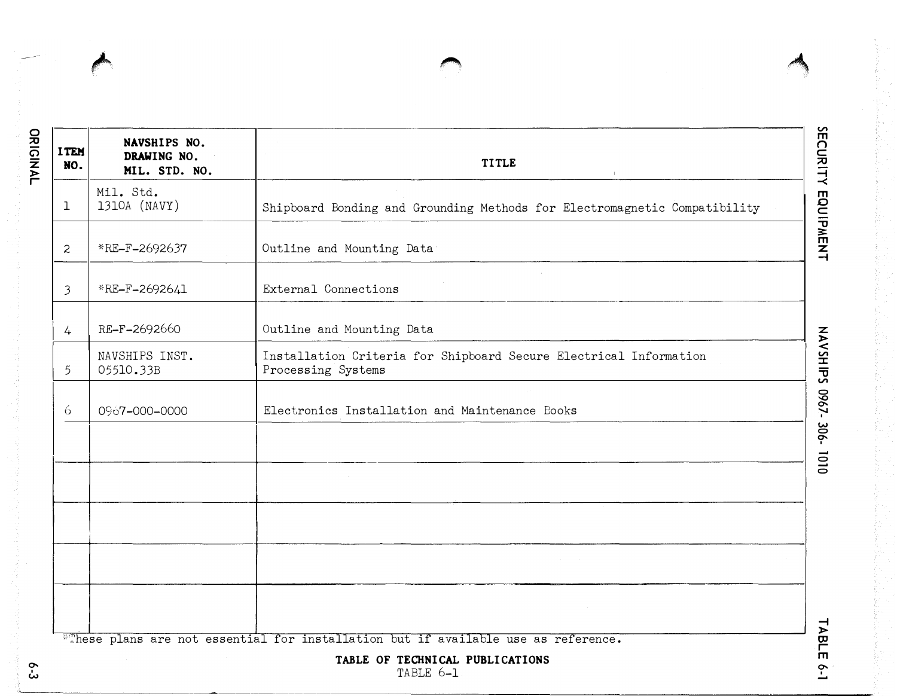SECURITY EQUIPMENT

NAVSHIPS 0967-306-1010

TABLE 6-1

|  | <b>ABLE OF TECHNICAL PUBLICAT</b> |  |
|--|-----------------------------------|--|
|  | TABLE 6-1                         |  |

 $6 - 3$ 

**ORIGINAL** 

| <b>ITEM</b><br>NO.       | NAVSHIPS NO.<br>DRAWING NO.<br>MIL. STD. NO. | <b>TITLE</b>                                                                            |  |  |  |  |
|--------------------------|----------------------------------------------|-----------------------------------------------------------------------------------------|--|--|--|--|
| $\mathbf 1$              | Mil. Std.<br>1310A (NAVY)                    | Shipboard Bonding and Grounding Methods for Electromagnetic Compatibility               |  |  |  |  |
| $\mathbf{2}$             | *RE-F-2692637                                | Outline and Mounting Data                                                               |  |  |  |  |
| $\overline{\mathcal{E}}$ | *RE-F-2692641                                | External Connections                                                                    |  |  |  |  |
| 4                        | RE-F-2692660                                 | Outline and Mounting Data                                                               |  |  |  |  |
| 5                        | NAVSHIPS INST.<br>05510.33B                  | Installation Criteria for Shipboard Secure Electrical Information<br>Processing Systems |  |  |  |  |
| 6                        | 09o7-000-0000                                | Electronics Installation and Maintenance Books                                          |  |  |  |  |
|                          |                                              |                                                                                         |  |  |  |  |
|                          |                                              |                                                                                         |  |  |  |  |
|                          |                                              |                                                                                         |  |  |  |  |
|                          |                                              |                                                                                         |  |  |  |  |
|                          |                                              | *These plans are not essential for installation but if available use as reference.      |  |  |  |  |
|                          | TABLE OF TECHNICAL PUBLICATIONS              |                                                                                         |  |  |  |  |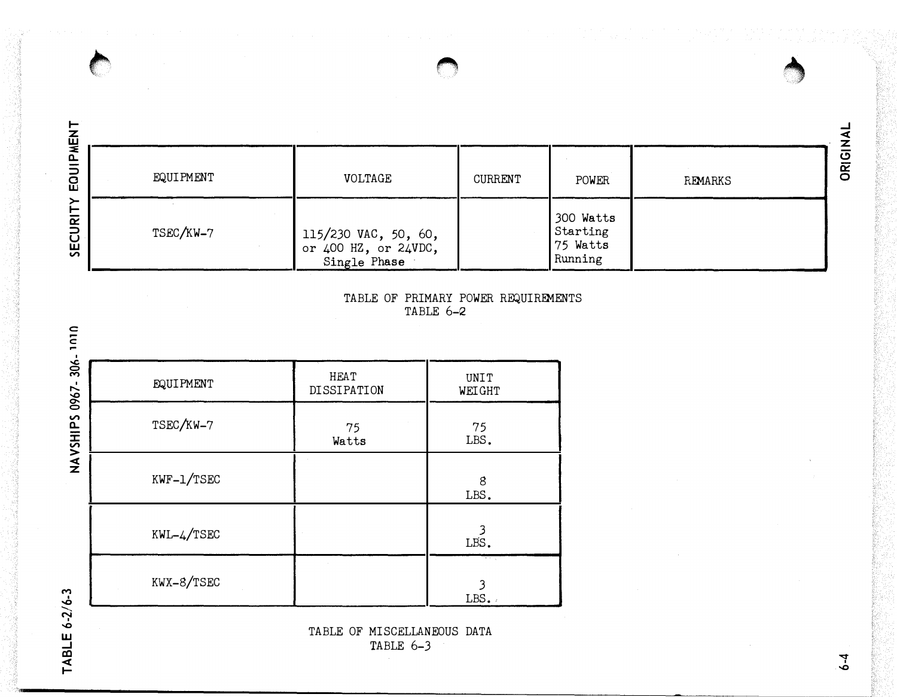| z                 | <b>EQUIPMENT</b> | VOLTAGE                                                   | CURRENT | POWER                                        | <b>REMARKS</b> |
|-------------------|------------------|-----------------------------------------------------------|---------|----------------------------------------------|----------------|
| <b>CURI</b><br>ັ⊎ | TSEC/KW-7        | 115/230 VAC, 50, 60, or 400 HZ, or 24VDC,<br>Single Phase |         | 300 Watts<br>Starting<br>75 Watts<br>Running |                |

# TABLE OF PRIMARY POWER REQUIREMENTS<br>TABLE 6-2

| EQUIPMENT    | <b>HEAT</b><br>DISSIPATION | <b>UNIT</b><br><b>WEIGHT</b> |
|--------------|----------------------------|------------------------------|
| TSEC/KW-7    | 75<br>Watts                | 75<br>LBS.                   |
| KWF-1/TSEC   |                            | 8<br>LBS.                    |
| $KWL-4/TSEC$ |                            | 3<br>LBS.                    |
| KWX-8/TSEC   |                            | ਜਨ<br>3<br>LBS.              |

TABLE OF MISCELLANEOUS DATA TABLE 6-3

NAVSHIPS 0967-306-1010

TABLE 6-2/6-3

 $6 - 4$ 

ORIGINAL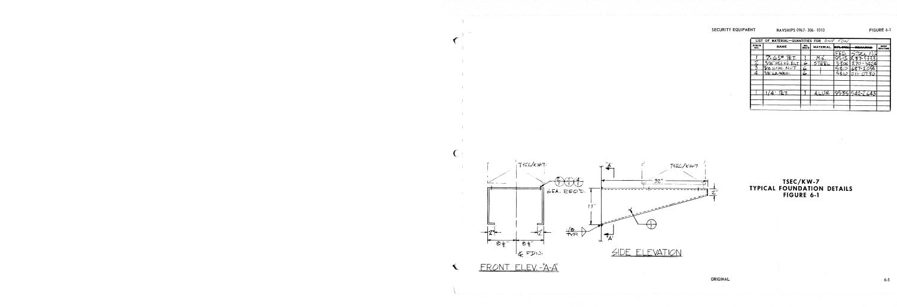# SECURITY EQUIPMENT

# NAVSHIPS 0967-306-1010

| LIST OF MATERIAL-QUANTITIES FOR ONE FON |                      |              |                           |            |                       |                               |
|-----------------------------------------|----------------------|--------------|---------------------------|------------|-----------------------|-------------------------------|
| <b>PIECE</b><br>NO.                     | <b>NAME</b>          | NO.<br>REQ'D | <b>MATERIAL</b>           | MTIL PACA. |                       | <b>SHOP</b><br><b>ROUTING</b> |
|                                         |                      |              |                           |            | 5702c<br>JD.          |                               |
|                                         | 7.65# FET.           |              | $\mathbf{M}_{\mathrm{L}}$ |            | <b>スマ</b>             |                               |
|                                         | $3/8$ "HEX, HD, BOLT | 6            | STEEL                     | 5306       | 1270<br>- 94<br>24    |                               |
|                                         | 3/8 HXHG NUT         | 6            |                           | 530.       | $637 - 2054$          |                               |
|                                         | $5/8$ LK. WASH.      |              |                           |            | <u>5310 1011-0730</u> |                               |
|                                         |                      |              |                           |            |                       |                               |
|                                         |                      |              |                           |            |                       |                               |
|                                         |                      |              |                           |            |                       |                               |
|                                         | 4.127                |              |                           |            | 9535 542-2643         |                               |
|                                         |                      |              |                           |            |                       |                               |
|                                         |                      |              |                           |            |                       |                               |
|                                         |                      |              |                           |            |                       |                               |



TSEC/KW-7<br>TYPICAL FOUNDATION DETAILS<br>FIGURE 6-1

ORIGINAL

 $\sim$ 

# FIGURE 6-1

 $6 - 5$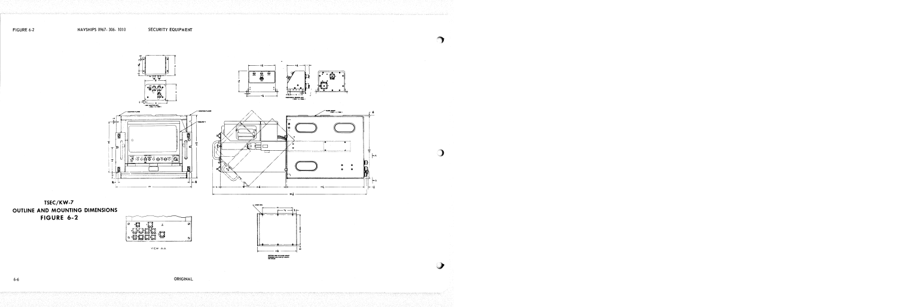FIGURE 6-2

NAVSHIPS 0967-306-1010

SECURITY EQUIPMENT







VIEW A-A



ORIGINAL

 $6-6$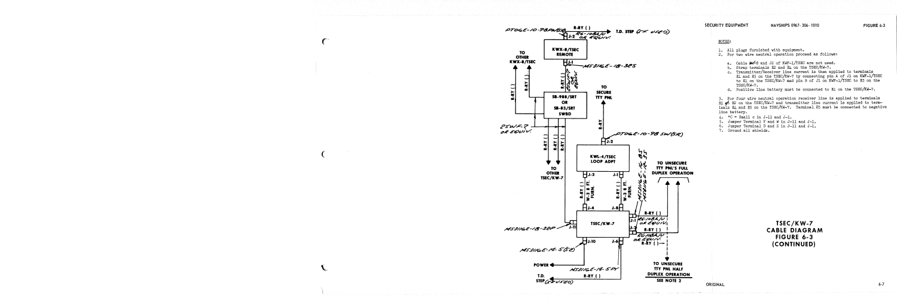

**SECURITY EQUIPMENT** 

# NAVSHIPS 0967-306-1010

## NOTES:

1. All plugs furnished with equipment.

2. For two wire neutral operation proceed as follows:

a. Cable  $M$ -8 and J2 of KWF-1/TSEC are not used. Strap terminals E2 and E4 on the TSEC/KW-7.  $b.$ c. Transmitter/Receiver line current is then applied to terminals El and E5 on the TSEC/KW-7 by connecting pin A of J1 on KWF-1/TSEC to El on the TSEC/KW-7 and pin B of J1 on KWF-1/TSEC to E5 on the

TSEC/KW-7.

d. Positive line battery must be connected to El on the TSEC/KW-7.

3. For four wire neutral operation receiver line is applied to terminals El to the TSEC/KW-7 and transmitter line current is applied to terminals E4 and E5 on the TSEC/KW-7. Terminal E5 must be connected to negative line battery.

4.  $*C = Small c in J-11 and J-1.$ 

5. Jumper Terminal V and W in J-11 and J-1.

- 6. Jumper Terminal D and Z in J-11 and J-1.
- Ground all shields. 7.

TSEC/KW-7 **CABLE DIAGRAM** FIGURE 6-3 (CONTINUED)

FIGURE 6-3